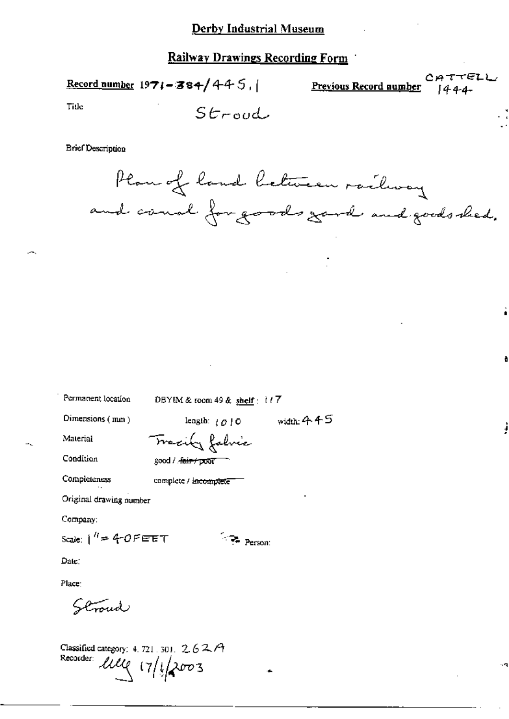Record number  $1971 - 384/445$ ,

CATTELL Previous Record number  $1444$ 

Tide

$$
\mathsf{S}\mathit{troud}
$$

**Brief Description** 



Permanent location

DBYIM & room 49 & shelf: 117

 $\sim$   $\frac{1}{\sqrt{2}}$  Person:

Dimensions  $(mn)$ 

length:  $\{0\}$  0 width: 445

Material

Condition

Tracity falvic good / fair / poor

Completeness

complete / incomplete

Original drawing number

Company:

Scale:  $1'' = 40$ PEET

Date:

Place:

Stroud

Classified category: 4, 721, 301,  $2.62A$ Recorder: lille 17/1/2003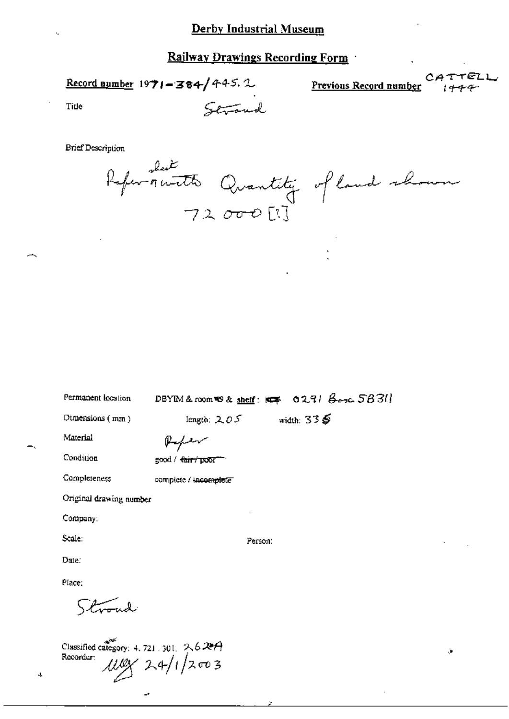Strand

Record number  $1971 - 384 / 445.2$ 

CATTELL Previous Record number

ò,

Tide

**Brief Description** 

Referencette Quantity of land shown<br>72000[1]

| Permanent location      | DBYIM & room @ & shelf: 144 0291 Booc 5831    |
|-------------------------|-----------------------------------------------|
| Dimensions $(mn)$       | width: $33\ddot{\mathbf{S}}$<br>length: $205$ |
| Material                | Referent                                      |
| Condition               | good / <del>fair / poor "</del>               |
| Completeness            | complete / incomplete                         |
| Original drawing number |                                               |
| Company:                |                                               |
| Scale:                  | Person:                                       |
| Date:                   |                                               |
| Place:                  |                                               |
| $\sqrt{2\pi}$           |                                               |
|                         |                                               |

Classified category: 4, 721, 301,  $2.627$  $\frac{\mu\mu\gamma}{24/12003}$ Recorder:

 $\mathbf{J}_\mathbf{A}$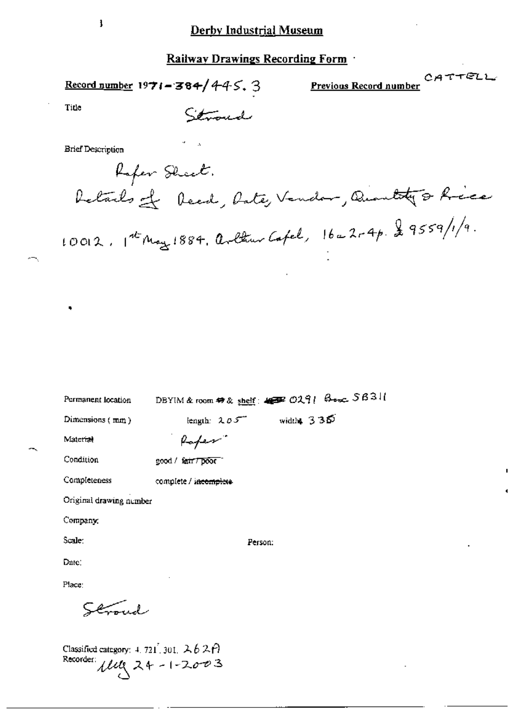Record number 1971-384/445. 3

Previous Record number

CATTELL

Title

Stroud

**Brief Description** 

Rafer Sheet. Retards of Reed, Rate, Vendor, Quantity & Ricce  $10012.1^{4t}$ May 1884, arthur Cafel,  $16-2r4p.29559/1/9$ .

| Permanent location      |                       | DBYIM & room # & shelf: 4 DR 0291 Box 5631 |
|-------------------------|-----------------------|--------------------------------------------|
| Dimensions $(mn)$       | length: $205$         | width $335$                                |
| Material                | Raper.                |                                            |
| Condition               | good / fair / poor -  |                                            |
| Completeness            | complete / incomplete |                                            |
| Original drawing number |                       |                                            |
| Company:                |                       |                                            |
| Scale:                  |                       | Person:                                    |
| Dare:                   |                       |                                            |
| Place:                  |                       |                                            |
| لاستعي                  |                       |                                            |
|                         |                       |                                            |
|                         |                       |                                            |

Classified category: 4, 721, 301,  $262P$ Recorder:  $\mu$ ung 24 - 1-2003